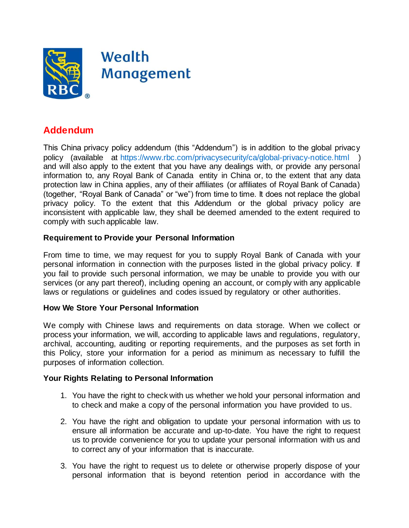

## **Addendum**

This China privacy policy addendum (this "Addendum") is in addition to the global privacy policy (available at <https://www.rbc.com/privacysecurity/ca/global-privacy-notice.html> ) and will also apply to the extent that you have any dealings with, or provide any personal information to, any Royal Bank of Canada entity in China or, to the extent that any data protection law in China applies, any of their affiliates (or affiliates of Royal Bank of Canada) (together, "Royal Bank of Canada" or "we") from time to time. It does not replace the global privacy policy. To the extent that this Addendum or the global privacy policy are inconsistent with applicable law, they shall be deemed amended to the extent required to comply with such applicable law.

## **Requirement to Provide your Personal Information**

From time to time, we may request for you to supply Royal Bank of Canada with your personal information in connection with the purposes listed in the global privacy policy. If you fail to provide such personal information, we may be unable to provide you with our services (or any part thereof), including opening an account, or comply with any applicable laws or regulations or guidelines and codes issued by regulatory or other authorities.

## **How We Store Your Personal Information**

We comply with Chinese laws and requirements on data storage. When we collect or process your information, we will, according to applicable laws and regulations, regulatory, archival, accounting, auditing or reporting requirements, and the purposes as set forth in this Policy, store your information for a period as minimum as necessary to fulfill the purposes of information collection.

## **Your Rights Relating to Personal Information**

- 1. You have the right to check with us whether we hold your personal information and to check and make a copy of the personal information you have provided to us.
- 2. You have the right and obligation to update your personal information with us to ensure all information be accurate and up-to-date. You have the right to request us to provide convenience for you to update your personal information with us and to correct any of your information that is inaccurate.
- 3. You have the right to request us to delete or otherwise properly dispose of your personal information that is beyond retention period in accordance with the